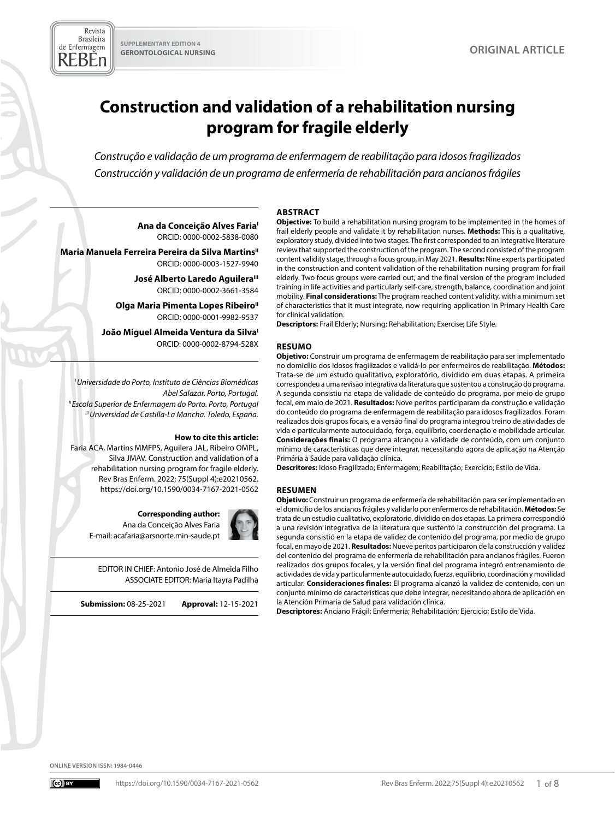Revista **Brasileira** de Enfermagem REBEn

# **Construction and validation of a rehabilitation nursing program for fragile elderly**

*Construção e validação de um programa de enfermagem de reabilitação para idosos fragilizados Construcción y validación de un programa de enfermería de rehabilitación para ancianos frágiles* 

#### **ABSTRACT**

Ana da Conceição Alves Faria<sup>1</sup> ORCID: 0000-0002-5838-0080

**Maria Manuela Ferreira Pereira da Silva Martins**" ORCID: 0000-0003-1527-9940

> **José Alberto Laredo Aguilera**<sup>III</sup> ORCID: 0000-0002-3661-3584

**Olga Maria Pimenta Lopes Ribeiro"** ORCID: 0000-0001-9982-9537

João Miguel Almeida Ventura da Silva<sup>1</sup> ORCID: 0000-0002-8794-528X

*I Universidade do Porto, Instituto de Ciências Biomédicas Abel Salazar. Porto, Portugal. II Escola Superior de Enfermagem do Porto. Porto, Portugal III Universidad de Castilla-La Mancha. Toledo, España.* 

#### **How to cite this article:**

Faria ACA, Martins MMFPS, Aguilera JAL, Ribeiro OMPL, Silva JMAV. Construction and validation of a rehabilitation nursing program for fragile elderly. Rev Bras Enferm. 2022; 75(Suppl 4):e20210562. <https://doi.org/10.1590/0034-7167-2021-0562>

**Corresponding author:**  Ana da Conceição Alves Faria E-mail: acafaria@arsnorte.min-saude.pt

EDITOR IN CHIEF: Antonio José de Almeida Filho ASSOCIATE EDITOR: Maria Itayra Padilha

**Submission:** 08-25-2021 **Approval:** 12-15-2021

**Objective:** To build a rehabilitation nursing program to be implemented in the homes of frail elderly people and validate it by rehabilitation nurses. **Methods:** This is a qualitative, exploratory study, divided into two stages. The first corresponded to an integrative literature review that supported the construction of the program. The second consisted of the program content validity stage, through a focus group, in May 2021. **Results:** Nine experts participated in the construction and content validation of the rehabilitation nursing program for frail elderly. Two focus groups were carried out, and the final version of the program included training in life activities and particularly self-care, strength, balance, coordination and joint mobility. **Final considerations:** The program reached content validity, with a minimum set of characteristics that it must integrate, now requiring application in Primary Health Care for clinical validation.

**Descriptors:** Frail Elderly; Nursing; Rehabilitation; Exercise; Life Style.

#### **RESUMO**

**Objetivo:** Construir um programa de enfermagem de reabilitação para ser implementado no domicílio dos idosos fragilizados e validá-lo por enfermeiros de reabilitação. **Métodos:** Trata-se de um estudo qualitativo, exploratório, dividido em duas etapas. A primeira correspondeu a uma revisão integrativa da literatura que sustentou a construção do programa. A segunda consistiu na etapa de validade de conteúdo do programa, por meio de grupo focal, em maio de 2021. **Resultados:** Nove peritos participaram da construção e validação do conteúdo do programa de enfermagem de reabilitação para idosos fragilizados. Foram realizados dois grupos focais, e a versão final do programa integrou treino de atividades de vida e particularmente autocuidado, força, equilíbrio, coordenação e mobilidade articular. **Considerações finais:** O programa alcançou a validade de conteúdo, com um conjunto mínimo de características que deve integrar, necessitando agora de aplicação na Atenção Primária à Saúde para validação clínica.

**Descritores:** Idoso Fragilizado; Enfermagem; Reabilitação; Exercício; Estilo de Vida.

#### **RESUMEN**

**Objetivo:** Construir un programa de enfermería de rehabilitación para ser implementado en el domicilio de los ancianos frágiles y validarlo por enfermeros de rehabilitación. **Métodos:** Se trata de un estudio cualitativo, exploratorio, dividido en dos etapas. La primera correspondió a una revisión integrativa de la literatura que sustentó la construcción del programa. La segunda consistió en la etapa de validez de contenido del programa, por medio de grupo focal, en mayo de 2021. **Resultados:** Nueve peritos participaron de la construcción y validez del contenido del programa de enfermería de rehabilitación para ancianos frágiles. Fueron realizados dos grupos focales, y la versión final del programa integró entrenamiento de actividades de vida y particularmente autocuidado, fuerza, equilibrio, coordinación y movilidad articular. **Consideraciones finales:** El programa alcanzó la validez de contenido, con un conjunto mínimo de características que debe integrar, necesitando ahora de aplicación en la Atención Primaria de Salud para validación clínica.

**Descriptores:** Anciano Frágil; Enfermería; Rehabilitación; Ejercicio; Estilo de Vida.

**ONLINE VERSION ISSN: 1984-0446**

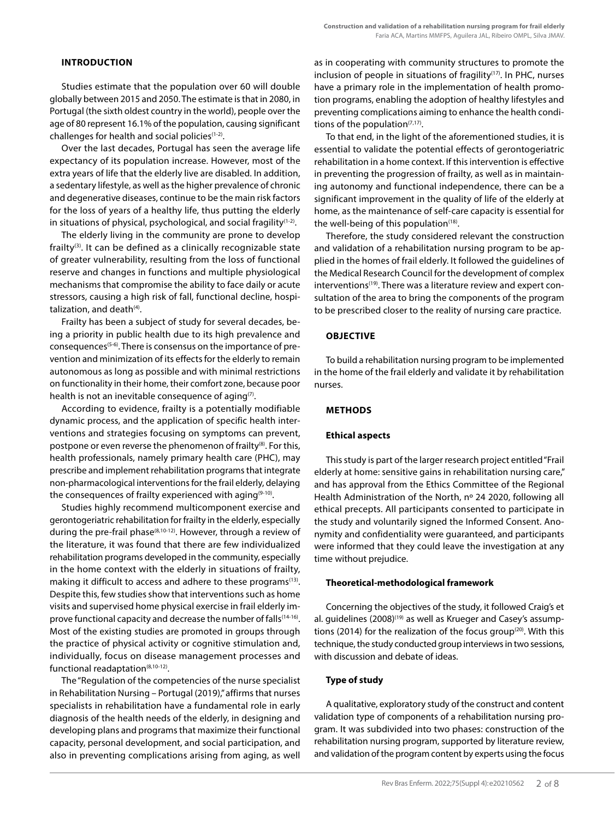# **INTRODUCTION**

Studies estimate that the population over 60 will double globally between 2015 and 2050. The estimate is that in 2080, in Portugal (the sixth oldest country in the world), people over the age of 80 represent 16.1% of the population, causing significant challenges for health and social policies(1-2).

Over the last decades, Portugal has seen the average life expectancy of its population increase. However, most of the extra years of life that the elderly live are disabled. In addition, a sedentary lifestyle, as well as the higher prevalence of chronic and degenerative diseases, continue to be the main risk factors for the loss of years of a healthy life, thus putting the elderly in situations of physical, psychological, and social fragility $(1-2)$ .

The elderly living in the community are prone to develop frailty<sup>(3)</sup>. It can be defined as a clinically recognizable state of greater vulnerability, resulting from the loss of functional reserve and changes in functions and multiple physiological mechanisms that compromise the ability to face daily or acute stressors, causing a high risk of fall, functional decline, hospitalization, and death<sup>(4)</sup>.

Frailty has been a subject of study for several decades, being a priority in public health due to its high prevalence and consequences(5-6). There is consensus on the importance of prevention and minimization of its effects for the elderly to remain autonomous as long as possible and with minimal restrictions on functionality in their home, their comfort zone, because poor health is not an inevitable consequence of aging $(7)$ .

According to evidence, frailty is a potentially modifiable dynamic process, and the application of specific health interventions and strategies focusing on symptoms can prevent, postpone or even reverse the phenomenon of frailty<sup>(8)</sup>. For this, health professionals, namely primary health care (PHC), may prescribe and implement rehabilitation programs that integrate non-pharmacological interventions for the frail elderly, delaying the consequences of frailty experienced with aging<sup>(9-10)</sup>.

Studies highly recommend multicomponent exercise and gerontogeriatric rehabilitation for frailty in the elderly, especially during the pre-frail phase(8,10-12). However, through a review of the literature, it was found that there are few individualized rehabilitation programs developed in the community, especially in the home context with the elderly in situations of frailty, making it difficult to access and adhere to these programs<sup>(13)</sup>. Despite this, few studies show that interventions such as home visits and supervised home physical exercise in frail elderly improve functional capacity and decrease the number of falls(14-16). Most of the existing studies are promoted in groups through the practice of physical activity or cognitive stimulation and, individually, focus on disease management processes and functional readaptation<sup>(8,10-12)</sup>.

The "Regulation of the competencies of the nurse specialist in Rehabilitation Nursing – Portugal (2019)," affirms that nurses specialists in rehabilitation have a fundamental role in early diagnosis of the health needs of the elderly, in designing and developing plans and programs that maximize their functional capacity, personal development, and social participation, and also in preventing complications arising from aging, as well as in cooperating with community structures to promote the inclusion of people in situations of fragility<sup>(17)</sup>. In PHC, nurses have a primary role in the implementation of health promotion programs, enabling the adoption of healthy lifestyles and preventing complications aiming to enhance the health conditions of the population $(7,17)$ .

To that end, in the light of the aforementioned studies, it is essential to validate the potential effects of gerontogeriatric rehabilitation in a home context. If this intervention is effective in preventing the progression of frailty, as well as in maintaining autonomy and functional independence, there can be a significant improvement in the quality of life of the elderly at home, as the maintenance of self-care capacity is essential for the well-being of this population $(18)$ .

Therefore, the study considered relevant the construction and validation of a rehabilitation nursing program to be applied in the homes of frail elderly. It followed the guidelines of the Medical Research Council for the development of complex interventions<sup>(19)</sup>. There was a literature review and expert consultation of the area to bring the components of the program to be prescribed closer to the reality of nursing care practice.

# **OBJECTIVE**

To build a rehabilitation nursing program to be implemented in the home of the frail elderly and validate it by rehabilitation nurses.

# **METHODS**

## **Ethical aspects**

This study is part of the larger research project entitled "Frail elderly at home: sensitive gains in rehabilitation nursing care," and has approval from the Ethics Committee of the Regional Health Administration of the North, nº 24 2020, following all ethical precepts. All participants consented to participate in the study and voluntarily signed the Informed Consent. Anonymity and confidentiality were guaranteed, and participants were informed that they could leave the investigation at any time without prejudice.

## **Theoretical-methodological framework**

Concerning the objectives of the study, it followed Craig's et al. guidelines (2008)<sup>(19)</sup> as well as Krueger and Casey's assumptions (2014) for the realization of the focus group<sup>(20)</sup>. With this technique, the study conducted group interviews in two sessions, with discussion and debate of ideas.

## **Type of study**

A qualitative, exploratory study of the construct and content validation type of components of a rehabilitation nursing program. It was subdivided into two phases: construction of the rehabilitation nursing program, supported by literature review, and validation of the program content by experts using the focus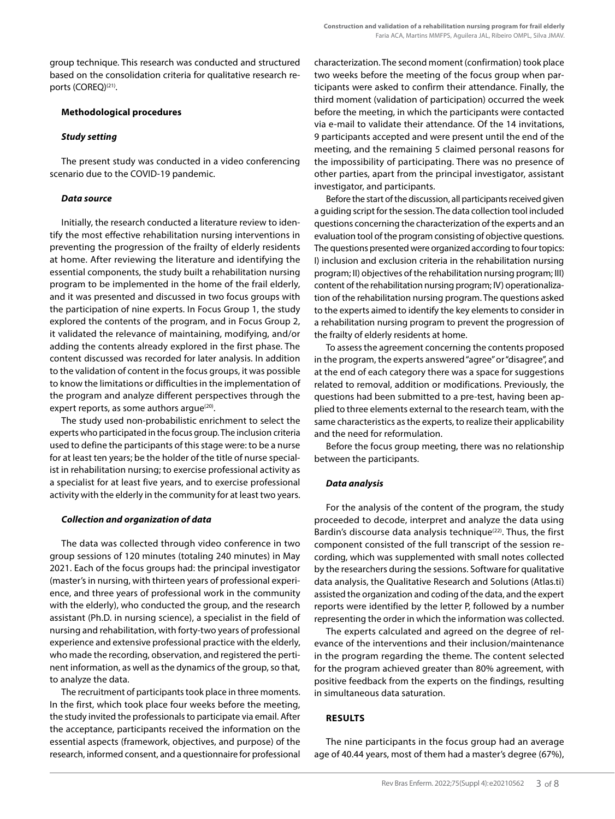group technique. This research was conducted and structured based on the consolidation criteria for qualitative research reports (COREQ)<sup>(21)</sup>.

# **Methodological procedures**

# *Study setting*

The present study was conducted in a video conferencing scenario due to the COVID-19 pandemic.

# *Data source*

Initially, the research conducted a literature review to identify the most effective rehabilitation nursing interventions in preventing the progression of the frailty of elderly residents at home. After reviewing the literature and identifying the essential components, the study built a rehabilitation nursing program to be implemented in the home of the frail elderly, and it was presented and discussed in two focus groups with the participation of nine experts. In Focus Group 1, the study explored the contents of the program, and in Focus Group 2, it validated the relevance of maintaining, modifying, and/or adding the contents already explored in the first phase. The content discussed was recorded for later analysis. In addition to the validation of content in the focus groups, it was possible to know the limitations or difficulties in the implementation of the program and analyze different perspectives through the expert reports, as some authors argue $(20)$ .

The study used non-probabilistic enrichment to select the experts who participated in the focus group. The inclusion criteria used to define the participants of this stage were: to be a nurse for at least ten years; be the holder of the title of nurse specialist in rehabilitation nursing; to exercise professional activity as a specialist for at least five years, and to exercise professional activity with the elderly in the community for at least two years.

## *Collection and organization of data*

The data was collected through video conference in two group sessions of 120 minutes (totaling 240 minutes) in May 2021. Each of the focus groups had: the principal investigator (master's in nursing, with thirteen years of professional experience, and three years of professional work in the community with the elderly), who conducted the group, and the research assistant (Ph.D. in nursing science), a specialist in the field of nursing and rehabilitation, with forty-two years of professional experience and extensive professional practice with the elderly, who made the recording, observation, and registered the pertinent information, as well as the dynamics of the group, so that, to analyze the data.

The recruitment of participants took place in three moments. In the first, which took place four weeks before the meeting, the study invited the professionals to participate via email. After the acceptance, participants received the information on the essential aspects (framework, objectives, and purpose) of the research, informed consent, and a questionnaire for professional characterization. The second moment (confirmation) took place two weeks before the meeting of the focus group when participants were asked to confirm their attendance. Finally, the third moment (validation of participation) occurred the week before the meeting, in which the participants were contacted via e-mail to validate their attendance. Of the 14 invitations, 9 participants accepted and were present until the end of the meeting, and the remaining 5 claimed personal reasons for the impossibility of participating. There was no presence of other parties, apart from the principal investigator, assistant investigator, and participants.

Before the start of the discussion, all participants received given a guiding script for the session. The data collection tool included questions concerning the characterization of the experts and an evaluation tool of the program consisting of objective questions. The questions presented were organized according to four topics: I) inclusion and exclusion criteria in the rehabilitation nursing program; II) objectives of the rehabilitation nursing program; III) content of the rehabilitation nursing program; IV) operationalization of the rehabilitation nursing program. The questions asked to the experts aimed to identify the key elements to consider in a rehabilitation nursing program to prevent the progression of the frailty of elderly residents at home.

To assess the agreement concerning the contents proposed in the program, the experts answered "agree" or "disagree", and at the end of each category there was a space for suggestions related to removal, addition or modifications. Previously, the questions had been submitted to a pre-test, having been applied to three elements external to the research team, with the same characteristics as the experts, to realize their applicability and the need for reformulation.

Before the focus group meeting, there was no relationship between the participants.

# *Data analysis*

For the analysis of the content of the program, the study proceeded to decode, interpret and analyze the data using Bardin's discourse data analysis technique<sup>(22)</sup>. Thus, the first component consisted of the full transcript of the session recording, which was supplemented with small notes collected by the researchers during the sessions. Software for qualitative data analysis, the Qualitative Research and Solutions (Atlas.ti) assisted the organization and coding of the data, and the expert reports were identified by the letter P, followed by a number representing the order in which the information was collected.

The experts calculated and agreed on the degree of relevance of the interventions and their inclusion/maintenance in the program regarding the theme. The content selected for the program achieved greater than 80% agreement, with positive feedback from the experts on the findings, resulting in simultaneous data saturation.

# **RESULTS**

The nine participants in the focus group had an average age of 40.44 years, most of them had a master's degree (67%),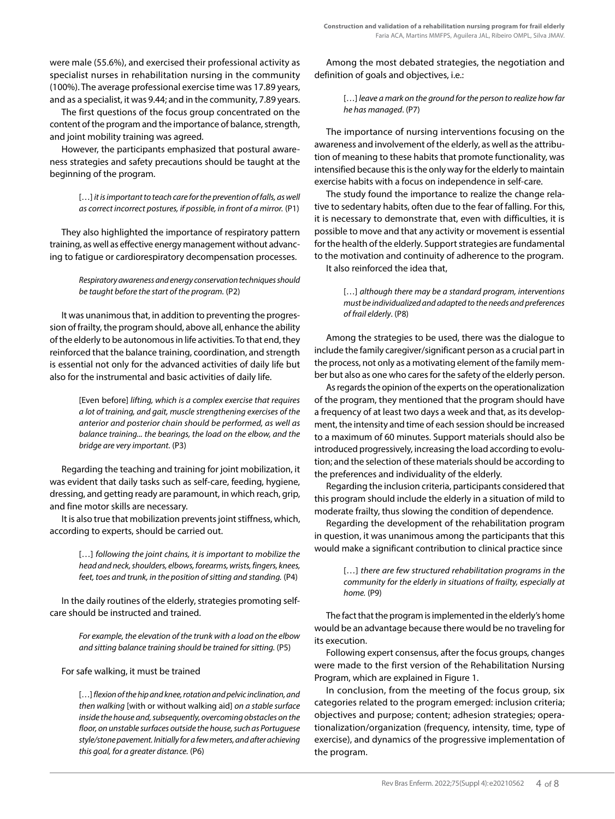were male (55.6%), and exercised their professional activity as specialist nurses in rehabilitation nursing in the community (100%). The average professional exercise time was 17.89 years, and as a specialist, it was 9.44; and in the community, 7.89 years.

The first questions of the focus group concentrated on the content of the program and the importance of balance, strength, and joint mobility training was agreed.

However, the participants emphasized that postural awareness strategies and safety precautions should be taught at the beginning of the program.

> [...] *it is important to teach care for the prevention of falls, as well as correct incorrect postures, if possible, in front of a mirror.* (P1)

They also highlighted the importance of respiratory pattern training, as well as effective energy management without advancing to fatigue or cardiorespiratory decompensation processes.

> *Respiratory awareness and energy conservation techniques should be taught before the start of the program.* (P2)

It was unanimous that, in addition to preventing the progression of frailty, the program should, above all, enhance the ability of the elderly to be autonomous in life activities. To that end, they reinforced that the balance training, coordination, and strength is essential not only for the advanced activities of daily life but also for the instrumental and basic activities of daily life.

> [Even before] *lifting, which is a complex exercise that requires a lot of training, and gait, muscle strengthening exercises of the anterior and posterior chain should be performed, as well as balance training... the bearings, the load on the elbow, and the bridge are very important.* (P3)

Regarding the teaching and training for joint mobilization, it was evident that daily tasks such as self-care, feeding, hygiene, dressing, and getting ready are paramount, in which reach, grip, and fine motor skills are necessary.

It is also true that mobilization prevents joint stiffness, which, according to experts, should be carried out.

> [...] following the joint chains, it is important to mobilize the *head and neck, shoulders, elbows, forearms, wrists, fingers, knees, feet, toes and trunk, in the position of sitting and standing.* (P4)

In the daily routines of the elderly, strategies promoting selfcare should be instructed and trained.

> *For example, the elevation of the trunk with a load on the elbow and sitting balance training should be trained for sitting.* (P5)

## For safe walking, it must be trained

[…] *flexion of the hip and knee, rotation and pelvic inclination, and then walking* [with or without walking aid] *on a stable surface inside the house and, subsequently, overcoming obstacles on the floor, on unstable surfaces outside the house, such as Portuguese style/stone pavement. Initially for a few meters, and after achieving this goal, for a greater distance.* (P6)

Among the most debated strategies, the negotiation and definition of goals and objectives, i.e.:

> [...] *leave a mark on the ground for the person to realize how far he has managed*. (P7)

The importance of nursing interventions focusing on the awareness and involvement of the elderly, as well as the attribution of meaning to these habits that promote functionality, was intensified because this is the only way for the elderly to maintain exercise habits with a focus on independence in self-care.

The study found the importance to realize the change relative to sedentary habits, often due to the fear of falling. For this, it is necessary to demonstrate that, even with difficulties, it is possible to move and that any activity or movement is essential for the health of the elderly. Support strategies are fundamental to the motivation and continuity of adherence to the program.

It also reinforced the idea that,

[…] *although there may be a standard program, interventions must be individualized and adapted to the needs and preferences of frail elderly*. (P8)

Among the strategies to be used, there was the dialogue to include the family caregiver/significant person as a crucial part in the process, not only as a motivating element of the family member but also as one who cares for the safety of the elderly person.

As regards the opinion of the experts on the operationalization of the program, they mentioned that the program should have a frequency of at least two days a week and that, as its development, the intensity and time of each session should be increased to a maximum of 60 minutes. Support materials should also be introduced progressively, increasing the load according to evolution; and the selection of these materials should be according to the preferences and individuality of the elderly.

Regarding the inclusion criteria, participants considered that this program should include the elderly in a situation of mild to moderate frailty, thus slowing the condition of dependence.

Regarding the development of the rehabilitation program in question, it was unanimous among the participants that this would make a significant contribution to clinical practice since

> [...] *there are few structured rehabilitation programs in the community for the elderly in situations of frailty, especially at home.* (P9)

The fact that the program is implemented in the elderly's home would be an advantage because there would be no traveling for its execution.

Following expert consensus, after the focus groups*,* changes were made to the first version of the Rehabilitation Nursing Program, which are explained in Figure 1.

In conclusion, from the meeting of the focus group, six categories related to the program emerged: inclusion criteria; objectives and purpose; content; adhesion strategies; operationalization/organization (frequency, intensity, time, type of exercise), and dynamics of the progressive implementation of the program.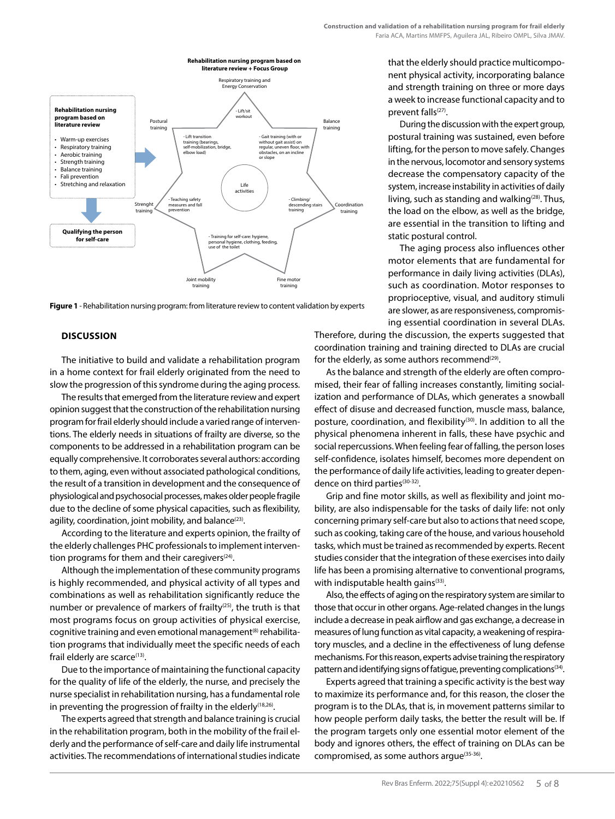

**Figure 1** - Rehabilitation nursing program: from literature review to content validation by experts

#### **DISCUSSION**

The initiative to build and validate a rehabilitation program in a home context for frail elderly originated from the need to slow the progression of this syndrome during the aging process.

The results that emerged from the literature review and expert opinion suggest that the construction of the rehabilitation nursing program for frail elderly should include a varied range of interventions. The elderly needs in situations of frailty are diverse, so the components to be addressed in a rehabilitation program can be equally comprehensive. It corroborates several authors: according to them, aging, even without associated pathological conditions, the result of a transition in development and the consequence of physiological and psychosocial processes, makes older people fragile due to the decline of some physical capacities, such as flexibility, agility, coordination, joint mobility, and balance $(23)$ .

According to the literature and experts opinion, the frailty of the elderly challenges PHC professionals to implement intervention programs for them and their caregivers $(24)$ .

Although the implementation of these community programs is highly recommended, and physical activity of all types and combinations as well as rehabilitation significantly reduce the number or prevalence of markers of frailty $(25)$ , the truth is that most programs focus on group activities of physical exercise, cognitive training and even emotional management<sup>(8)</sup> rehabilitation programs that individually meet the specific needs of each frail elderly are scarce<sup>(13)</sup>.

Due to the importance of maintaining the functional capacity for the quality of life of the elderly, the nurse, and precisely the nurse specialist in rehabilitation nursing, has a fundamental role in preventing the progression of frailty in the elderly<sup>(18,26)</sup>.

The experts agreed that strength and balance training is crucial in the rehabilitation program, both in the mobility of the frail elderly and the performance of self-care and daily life instrumental activities. The recommendations of international studies indicate that the elderly should practice multicomponent physical activity, incorporating balance and strength training on three or more days a week to increase functional capacity and to prevent falls<sup>(27)</sup>.

During the discussion with the expert group, postural training was sustained, even before lifting, for the person to move safely. Changes in the nervous, locomotor and sensory systems decrease the compensatory capacity of the system, increase instability in activities of daily living, such as standing and walking $(28)$ . Thus, the load on the elbow, as well as the bridge, are essential in the transition to lifting and static postural control.

The aging process also influences other motor elements that are fundamental for performance in daily living activities (DLAs), such as coordination. Motor responses to proprioceptive, visual, and auditory stimuli are slower, as are responsiveness, compromising essential coordination in several DLAs.

Therefore, during the discussion, the experts suggested that coordination training and training directed to DLAs are crucial for the elderly, as some authors recommend $^{(29)}$ .

As the balance and strength of the elderly are often compromised, their fear of falling increases constantly, limiting socialization and performance of DLAs, which generates a snowball effect of disuse and decreased function, muscle mass, balance, posture, coordination, and flexibility<sup>(30)</sup>. In addition to all the physical phenomena inherent in falls, these have psychic and social repercussions. When feeling fear of falling, the person loses self-confidence, isolates himself, becomes more dependent on the performance of daily life activities, leading to greater dependence on third parties<sup>(30-32)</sup>.

Grip and fine motor skills, as well as flexibility and joint mobility, are also indispensable for the tasks of daily life: not only concerning primary self-care but also to actions that need scope, such as cooking, taking care of the house, and various household tasks, which must be trained as recommended by experts. Recent studies consider that the integration of these exercises into daily life has been a promising alternative to conventional programs, with indisputable health gains<sup>(33)</sup>.

Also, the effects of aging on the respiratory system are similar to those that occur in other organs. Age-related changes in the lungs include a decrease in peak airflow and gas exchange, a decrease in measures of lung function as vital capacity, a weakening of respiratory muscles, and a decline in the effectiveness of lung defense mechanisms. For this reason, experts advise training the respiratory pattern and identifying signs of fatigue, preventing complications<sup> $(34)$ </sup>.

Experts agreed that training a specific activity is the best way to maximize its performance and, for this reason, the closer the program is to the DLAs, that is, in movement patterns similar to how people perform daily tasks, the better the result will be. If the program targets only one essential motor element of the body and ignores others, the effect of training on DLAs can be compromised, as some authors argue<sup>(35-36)</sup>.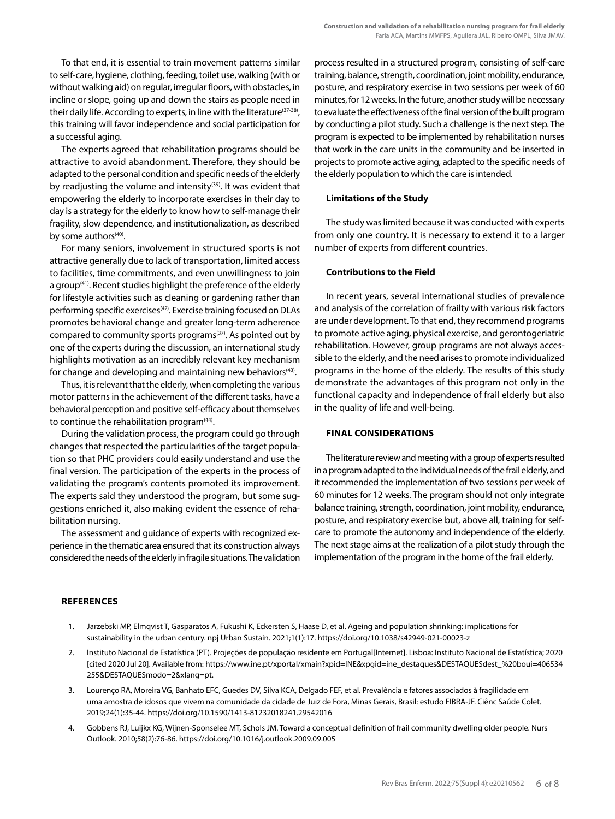To that end, it is essential to train movement patterns similar to self-care, hygiene, clothing, feeding, toilet use, walking (with or without walking aid) on regular, irregular floors, with obstacles, in incline or slope, going up and down the stairs as people need in their daily life. According to experts, in line with the literature<sup>(37-38)</sup>, this training will favor independence and social participation for a successful aging.

The experts agreed that rehabilitation programs should be attractive to avoid abandonment. Therefore, they should be adapted to the personal condition and specific needs of the elderly by readjusting the volume and intensity<sup>(39)</sup>. It was evident that empowering the elderly to incorporate exercises in their day to day is a strategy for the elderly to know how to self-manage their fragility, slow dependence, and institutionalization, as described by some authors $(40)$ .

For many seniors, involvement in structured sports is not attractive generally due to lack of transportation, limited access to facilities, time commitments, and even unwillingness to join a group<sup>(41)</sup>. Recent studies highlight the preference of the elderly for lifestyle activities such as cleaning or gardening rather than performing specific exercises<sup>(42)</sup>. Exercise training focused on DLAs promotes behavioral change and greater long-term adherence compared to community sports programs<sup>(37)</sup>. As pointed out by one of the experts during the discussion, an international study highlights motivation as an incredibly relevant key mechanism for change and developing and maintaining new behaviors<sup>(43)</sup>.

Thus, it is relevant that the elderly, when completing the various motor patterns in the achievement of the different tasks, have a behavioral perception and positive self-efficacy about themselves to continue the rehabilitation program<sup>(44)</sup>.

During the validation process, the program could go through changes that respected the particularities of the target population so that PHC providers could easily understand and use the final version. The participation of the experts in the process of validating the program's contents promoted its improvement. The experts said they understood the program, but some suggestions enriched it, also making evident the essence of rehabilitation nursing.

The assessment and guidance of experts with recognized experience in the thematic area ensured that its construction always considered the needs of the elderly in fragile situations. The validation process resulted in a structured program, consisting of self-care training, balance, strength, coordination, joint mobility, endurance, posture, and respiratory exercise in two sessions per week of 60 minutes, for 12 weeks. In the future, another study will be necessary to evaluate the effectiveness of the final version of the built program by conducting a pilot study. Such a challenge is the next step. The program is expected to be implemented by rehabilitation nurses that work in the care units in the community and be inserted in projects to promote active aging, adapted to the specific needs of the elderly population to which the care is intended.

#### **Limitations of the Study**

The study was limited because it was conducted with experts from only one country. It is necessary to extend it to a larger number of experts from different countries.

#### **Contributions to the Field**

In recent years, several international studies of prevalence and analysis of the correlation of frailty with various risk factors are under development. To that end, they recommend programs to promote active aging, physical exercise, and gerontogeriatric rehabilitation. However, group programs are not always accessible to the elderly, and the need arises to promote individualized programs in the home of the elderly. The results of this study demonstrate the advantages of this program not only in the functional capacity and independence of frail elderly but also in the quality of life and well-being.

#### **FINAL CONSIDERATIONS**

The literature review and meeting with a group of experts resulted in a program adapted to the individual needs of the frail elderly, and it recommended the implementation of two sessions per week of 60 minutes for 12 weeks. The program should not only integrate balance training, strength, coordination, joint mobility, endurance, posture, and respiratory exercise but, above all, training for selfcare to promote the autonomy and independence of the elderly. The next stage aims at the realization of a pilot study through the implementation of the program in the home of the frail elderly.

#### **REFERENCES**

- 1. Jarzebski MP, Elmqvist T, Gasparatos A, Fukushi K, Eckersten S, Haase D, et al. Ageing and population shrinking: implications for sustainability in the urban century. npj Urban Sustain. 2021;1(1):17. https://doi.org/10.1038/s42949-021-00023-z
- 2. Instituto Nacional de Estatística (PT). Projeções de população residente em Portugal[Internet]. Lisboa: Instituto Nacional de Estatística; 2020 [cited 2020 Jul 20]. Available from: https://www.ine.pt/xportal/xmain?xpid=INE&xpgid=ine\_destaques&DESTAQUESdest\_%20boui=406534 255&DESTAQUESmodo=2&xlang=pt.
- 3. Lourenço RA, Moreira VG, Banhato EFC, Guedes DV, Silva KCA, Delgado FEF, et al. Prevalência e fatores associados à fragilidade em uma amostra de idosos que vivem na comunidade da cidade de Juiz de Fora, Minas Gerais, Brasil: estudo FIBRA-JF. Ciênc Saúde Colet. 2019;24(1):35-44. https://doi.org/10.1590/1413-81232018241.29542016
- 4. Gobbens RJ, Luijkx KG, Wijnen-Sponselee MT, Schols JM. Toward a conceptual definition of frail community dwelling older people. Nurs Outlook. 2010;58(2):76-86. https://doi.org/10.1016/j.outlook.2009.09.005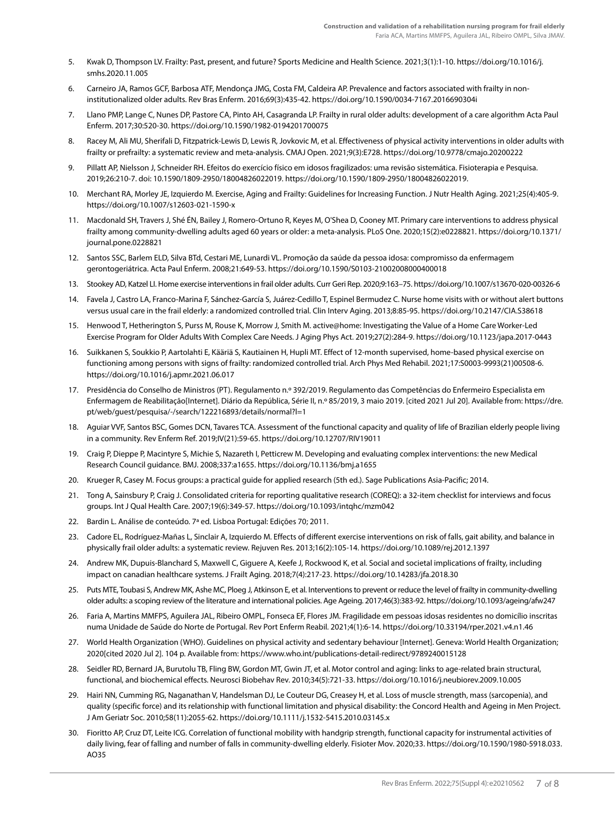- 5. Kwak D, Thompson LV. Frailty: Past, present, and future? Sports Medicine and Health Science. 2021;3(1):1-10. https://doi.org/10.1016/j. smhs.2020.11.005
- 6. Carneiro JA, Ramos GCF, Barbosa ATF, Mendonça JMG, Costa FM, Caldeira AP. Prevalence and factors associated with frailty in noninstitutionalized older adults. Rev Bras Enferm. 2016;69(3):435-42. https://doi.org/10.1590/0034-7167.2016690304i
- 7. Llano PMP, Lange C, Nunes DP, Pastore CA, Pinto AH, Casagranda LP. Frailty in rural older adults: development of a care algorithm Acta Paul Enferm. 2017;30:520-30. https://doi.org/10.1590/1982-0194201700075
- 8. Racey M, Ali MU, Sherifali D, Fitzpatrick-Lewis D, Lewis R, Jovkovic M, et al. Effectiveness of physical activity interventions in older adults with frailty or prefrailty: a systematic review and meta-analysis. CMAJ Open. 2021;9(3):E728. https://doi.org/10.9778/cmajo.20200222
- 9. Pillatt AP, Nielsson J, Schneider RH. Efeitos do exercício físico em idosos fragilizados: uma revisão sistemática. Fisioterapia e Pesquisa. 2019;26:210-7. doi: 10.1590/1809-2950/18004826022019. https://doi.org/10.1590/1809-2950/18004826022019.
- 10. Merchant RA, Morley JE, Izquierdo M. Exercise, Aging and Frailty: Guidelines for Increasing Function. J Nutr Health Aging. 2021;25(4):405-9. https://doi.org/10.1007/s12603-021-1590-x
- 11. Macdonald SH, Travers J, Shé ÉN, Bailey J, Romero-Ortuno R, Keyes M, O'Shea D, Cooney MT. Primary care interventions to address physical frailty among community-dwelling adults aged 60 years or older: a meta-analysis. PLoS One. 2020;15(2):e0228821. https://doi.org/10.1371/ journal.pone.0228821
- 12. Santos SSC, Barlem ELD, Silva BTd, Cestari ME, Lunardi VL. Promoção da saúde da pessoa idosa: compromisso da enfermagem gerontogeriátrica. Acta Paul Enferm. 2008;21:649-53. https://doi.org/10.1590/S0103-21002008000400018
- 13. Stookey AD, Katzel LI. Home exercise interventions in frail older adults. Curr Geri Rep. 2020;9:163–75. https://doi.org/10.1007/s13670-020-00326-6
- 14. Favela J, Castro LA, Franco-Marina F, Sánchez-García S, Juárez-Cedillo T, Espinel Bermudez C. Nurse home visits with or without alert buttons versus usual care in the frail elderly: a randomized controlled trial. Clin Interv Aging. 2013;8:85-95. https://doi.org/10.2147/CIA.S38618
- 15. Henwood T, Hetherington S, Purss M, Rouse K, Morrow J, Smith M. active@home: Investigating the Value of a Home Care Worker-Led Exercise Program for Older Adults With Complex Care Needs. J Aging Phys Act. 2019;27(2):284-9. https://doi.org/10.1123/japa.2017-0443
- 16. Suikkanen S, Soukkio P, Aartolahti E, Kääriä S, Kautiainen H, Hupli MT. Effect of 12-month supervised, home-based physical exercise on functioning among persons with signs of frailty: randomized controlled trial. Arch Phys Med Rehabil. 2021;17:S0003-9993(21)00508-6. https://doi.org/10.1016/j.apmr.2021.06.017
- 17. Presidência do Conselho de Ministros (PT). Regulamento n.º 392/2019. Regulamento das Competências do Enfermeiro Especialista em Enfermagem de Reabilitação[Internet]. Diário da República, Série II, n.º 85/2019, 3 maio 2019. [cited 2021 Jul 20]. Available from: https://dre. pt/web/guest/pesquisa/-/search/122216893/details/normal?l=1
- 18. Aguiar VVF, Santos BSC, Gomes DCN, Tavares TCA. Assessment of the functional capacity and quality of life of Brazilian elderly people living in a community. Rev Enferm Ref. 2019;IV(21):59-65. https://doi.org/10.12707/RIV19011
- 19. Craig P, Dieppe P, Macintyre S, Michie S, Nazareth I, Petticrew M. Developing and evaluating complex interventions: the new Medical Research Council guidance. BMJ. 2008;337:a1655. https://doi.org/10.1136/bmj.a1655
- 20. Krueger R, Casey M. Focus groups: a practical guide for applied research (5th ed.). Sage Publications Asia-Pacific; 2014.
- 21. Tong A, Sainsbury P, Craig J. Consolidated criteria for reporting qualitative research (COREQ): a 32-item checklist for interviews and focus groups. Int J Qual Health Care. 2007;19(6):349-57. https://doi.org/10.1093/intqhc/mzm042
- 22. Bardin L. Análise de conteúdo. 7ª ed. Lisboa Portugal: Edições 70; 2011.
- 23. Cadore EL, Rodríguez-Mañas L, Sinclair A, Izquierdo M. Effects of different exercise interventions on risk of falls, gait ability, and balance in physically frail older adults: a systematic review. Rejuven Res. 2013;16(2):105-14. https://doi.org/10.1089/rej.2012.1397
- 24. Andrew MK, Dupuis-Blanchard S, Maxwell C, Giguere A, Keefe J, Rockwood K, et al. Social and societal implications of frailty, including impact on canadian healthcare systems. J Frailt Aging. 2018;7(4):217-23. https://doi.org/10.14283/jfa.2018.30
- 25. Puts MTE, Toubasi S, Andrew MK, Ashe MC, Ploeg J, Atkinson E, et al. Interventions to prevent or reduce the level of frailty in community-dwelling older adults: a scoping review of the literature and international policies. Age Ageing. 2017;46(3):383-92. https://doi.org/10.1093/ageing/afw247
- 26. Faria A, Martins MMFPS, Aguilera JAL, Ribeiro OMPL, Fonseca EF, Flores JM. Fragilidade em pessoas idosas residentes no domicílio inscritas numa Unidade de Saúde do Norte de Portugal. Rev Port Enferm Reabil. 2021;4(1):6-14. https://doi.org/10.33194/rper.2021.v4.n1.46
- 27. World Health Organization (WHO). Guidelines on physical activity and sedentary behaviour [Internet]. Geneva: World Health Organization; 2020[cited 2020 Jul 2]. 104 p. Available from: https://www.who.int/publications-detail-redirect/9789240015128
- 28. Seidler RD, Bernard JA, Burutolu TB, Fling BW, Gordon MT, Gwin JT, et al. Motor control and aging: links to age-related brain structural, functional, and biochemical effects. Neurosci Biobehav Rev. 2010;34(5):721-33. https://doi.org/10.1016/j.neubiorev.2009.10.005
- 29. Hairi NN, Cumming RG, Naganathan V, Handelsman DJ, Le Couteur DG, Creasey H, et al. Loss of muscle strength, mass (sarcopenia), and quality (specific force) and its relationship with functional limitation and physical disability: the Concord Health and Ageing in Men Project. J Am Geriatr Soc. 2010;58(11):2055-62. https://doi.org/10.1111/j.1532-5415.2010.03145.x
- 30. Fioritto AP, Cruz DT, Leite ICG. Correlation of functional mobility with handgrip strength, functional capacity for instrumental activities of daily living, fear of falling and number of falls in community-dwelling elderly. Fisioter Mov. 2020;33. https://doi.org/10.1590/1980-5918.033. AO35